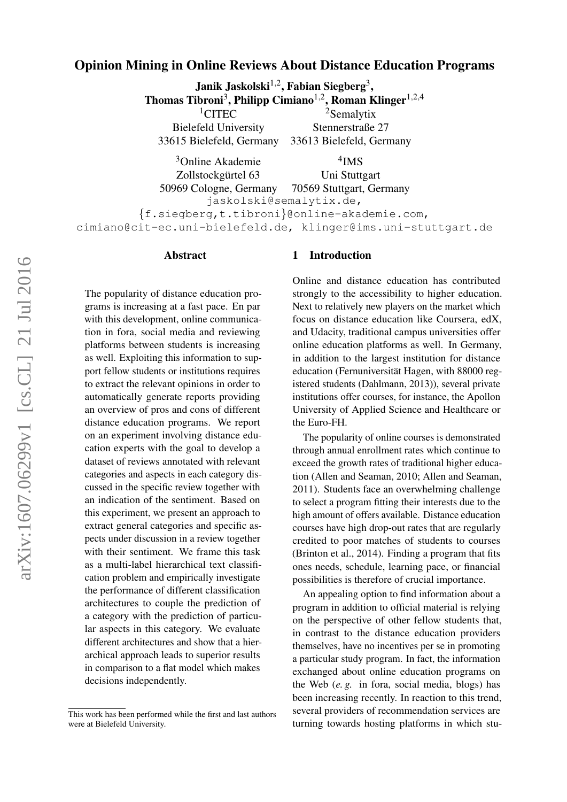## Opinion Mining in Online Reviews About Distance Education Programs

Janik Jaskolski $^{1,2}$ , Fabian Siegberg<sup>3</sup>, Thomas Tibroni<sup>3</sup>, Philipp Cimiano<sup>1,2</sup>, Roman Klinger<sup>1,2,4</sup>  $1$ CITEC Bielefeld University 33615 Bielefeld, Germany <sup>2</sup>Semalytix Stennerstraße 27 33613 Bielefeld, Germany <sup>3</sup>Online Akademie Zollstockgürtel 63 4 IMS Uni Stuttgart

50969 Cologne, Germany 70569 Stuttgart, Germany jaskolski@semalytix.de, {f.siegberg,t.tibroni}@online-akademie.com, cimiano@cit-ec.uni-bielefeld.de, klinger@ims.uni-stuttgart.de

#### Abstract

The popularity of distance education programs is increasing at a fast pace. En par with this development, online communication in fora, social media and reviewing platforms between students is increasing as well. Exploiting this information to support fellow students or institutions requires to extract the relevant opinions in order to automatically generate reports providing an overview of pros and cons of different distance education programs. We report on an experiment involving distance education experts with the goal to develop a dataset of reviews annotated with relevant categories and aspects in each category discussed in the specific review together with an indication of the sentiment. Based on this experiment, we present an approach to extract general categories and specific aspects under discussion in a review together with their sentiment. We frame this task as a multi-label hierarchical text classification problem and empirically investigate the performance of different classification architectures to couple the prediction of a category with the prediction of particular aspects in this category. We evaluate different architectures and show that a hierarchical approach leads to superior results in comparison to a flat model which makes decisions independently.

### 1 Introduction

Online and distance education has contributed strongly to the accessibility to higher education. Next to relatively new players on the market which focus on distance education like Coursera, edX, and Udacity, traditional campus universities offer online education platforms as well. In Germany, in addition to the largest institution for distance education (Fernuniversität Hagen, with 88000 registered students [\(Dahlmann, 2013\)](#page-8-0)), several private institutions offer courses, for instance, the Apollon University of Applied Science and Healthcare or the Euro-FH.

The popularity of online courses is demonstrated through annual enrollment rates which continue to exceed the growth rates of traditional higher education [\(Allen and Seaman, 2010;](#page-8-1) [Allen and Seaman,](#page-8-2) [2011\)](#page-8-2). Students face an overwhelming challenge to select a program fitting their interests due to the high amount of offers available. Distance education courses have high drop-out rates that are regularly credited to poor matches of students to courses [\(Brinton et al., 2014\)](#page-8-3). Finding a program that fits ones needs, schedule, learning pace, or financial possibilities is therefore of crucial importance.

An appealing option to find information about a program in addition to official material is relying on the perspective of other fellow students that, in contrast to the distance education providers themselves, have no incentives per se in promoting a particular study program. In fact, the information exchanged about online education programs on the Web (*e. g.* in fora, social media, blogs) has been increasing recently. In reaction to this trend, several providers of recommendation services are turning towards hosting platforms in which stu-

This work has been performed while the first and last authors were at Bielefeld University.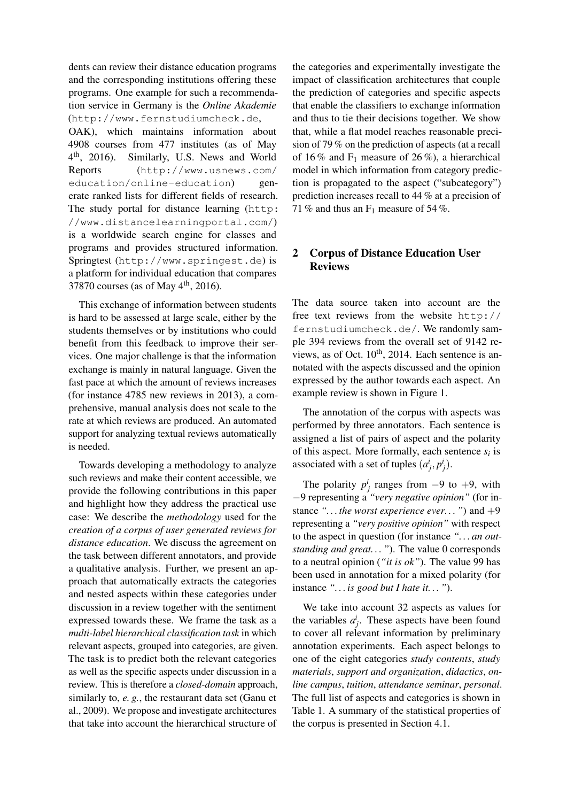dents can review their distance education programs and the corresponding institutions offering these programs. One example for such a recommendation service in Germany is the *Online Akademie* (<http://www.fernstudiumcheck.de>,

OAK), which maintains information about 4908 courses from 477 institutes (as of May  $4^{\text{th}}$ , 2016). Similarly, U.S. News and World Reports ([http://www.usnews.com/](http://www.usnews.com/education/online-education) [education/online-education](http://www.usnews.com/education/online-education)) generate ranked lists for different fields of research. The study portal for distance learning ([http:](http://www.distancelearningportal.com/) [//www.distancelearningportal.com/](http://www.distancelearningportal.com/)) is a worldwide search engine for classes and programs and provides structured information. Springtest (<http://www.springest.de>) is a platform for individual education that compares 37870 courses (as of May  $4<sup>th</sup>$ , 2016).

This exchange of information between students is hard to be assessed at large scale, either by the students themselves or by institutions who could benefit from this feedback to improve their services. One major challenge is that the information exchange is mainly in natural language. Given the fast pace at which the amount of reviews increases (for instance 4785 new reviews in 2013), a comprehensive, manual analysis does not scale to the rate at which reviews are produced. An automated support for analyzing textual reviews automatically is needed.

Towards developing a methodology to analyze such reviews and make their content accessible, we provide the following contributions in this paper and highlight how they address the practical use case: We describe the *methodology* used for the *creation of a corpus of user generated reviews for distance education*. We discuss the agreement on the task between different annotators, and provide a qualitative analysis. Further, we present an approach that automatically extracts the categories and nested aspects within these categories under discussion in a review together with the sentiment expressed towards these. We frame the task as a *multi-label hierarchical classification task* in which relevant aspects, grouped into categories, are given. The task is to predict both the relevant categories as well as the specific aspects under discussion in a review. This is therefore a *closed-domain* approach, similarly to, *e. g.*, the restaurant data set [\(Ganu et](#page-8-4) [al., 2009\)](#page-8-4). We propose and investigate architectures that take into account the hierarchical structure of

the categories and experimentally investigate the impact of classification architectures that couple the prediction of categories and specific aspects that enable the classifiers to exchange information and thus to tie their decisions together. We show that, while a flat model reaches reasonable precision of 79 % on the prediction of aspects (at a recall of 16 % and  $F_1$  measure of 26 %), a hierarchical model in which information from category prediction is propagated to the aspect ("subcategory") prediction increases recall to 44 % at a precision of 71 % and thus an  $F_1$  measure of 54 %.

## 2 Corpus of Distance Education User Reviews

The data source taken into account are the free text reviews from the website [http://](http://fernstudiumcheck.de/) [fernstudiumcheck.de/](http://fernstudiumcheck.de/). We randomly sample 394 reviews from the overall set of 9142 reviews, as of Oct.  $10^{th}$ , 2014. Each sentence is annotated with the aspects discussed and the opinion expressed by the author towards each aspect. An example review is shown in Figure [1.](#page-2-0)

The annotation of the corpus with aspects was performed by three annotators. Each sentence is assigned a list of pairs of aspect and the polarity of this aspect. More formally, each sentence  $s_i$  is associated with a set of tuples  $(a_j^i, p_j^i)$ .

The polarity  $p_j^i$  ranges from  $-9$  to  $+9$ , with −9 representing a *"very negative opinion"* (for instance *". . . the worst experience ever. . . "*) and +9 representing a *"very positive opinion"* with respect to the aspect in question (for instance *". . . an outstanding and great...*"). The value 0 corresponds to a neutral opinion (*"it is ok"*). The value 99 has been used in annotation for a mixed polarity (for instance *". . . is good but I hate it. . . "*).

We take into account 32 aspects as values for the variables  $a_j^i$ . These aspects have been found to cover all relevant information by preliminary annotation experiments. Each aspect belongs to one of the eight categories *study contents*, *study materials*, *support and organization*, *didactics*, *online campus*, *tuition*, *attendance seminar*, *personal*. The full list of aspects and categories is shown in Table [1.](#page-3-0) A summary of the statistical properties of the corpus is presented in Section [4.1.](#page-4-0)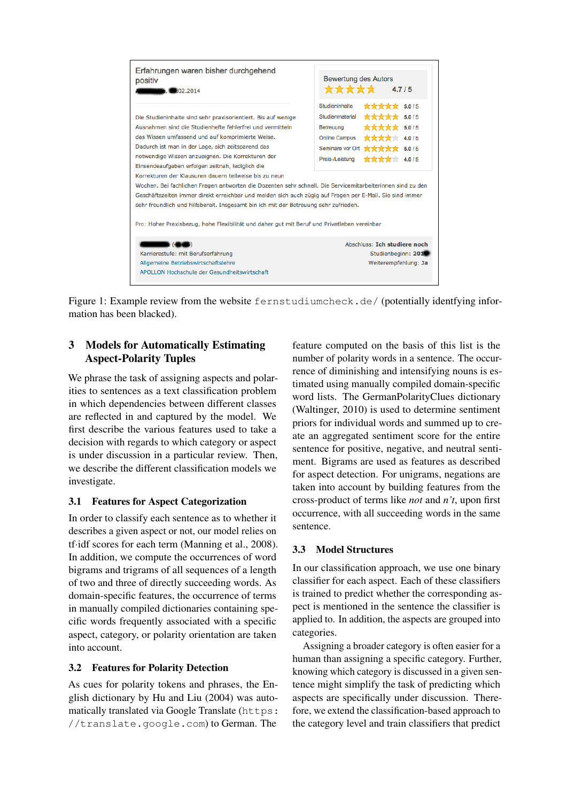

<span id="page-2-0"></span>Figure 1: Example review from the website <fernstudiumcheck.de/>(potentially identifying information has been blacked).

# 3 Models for Automatically Estimating Aspect-Polarity Tuples

We phrase the task of assigning aspects and polarities to sentences as a text classification problem in which dependencies between different classes are reflected in and captured by the model. We first describe the various features used to take a decision with regards to which category or aspect is under discussion in a particular review. Then, we describe the different classification models we investigate.

## 3.1 Features for Aspect Categorization

In order to classify each sentence as to whether it describes a given aspect or not, our model relies on tf·idf scores for each term [\(Manning et al., 2008\)](#page-8-5). In addition, we compute the occurrences of word bigrams and trigrams of all sequences of a length of two and three of directly succeeding words. As domain-specific features, the occurrence of terms in manually compiled dictionaries containing specific words frequently associated with a specific aspect, category, or polarity orientation are taken into account.

## 3.2 Features for Polarity Detection

As cues for polarity tokens and phrases, the English dictionary by [Hu and Liu \(2004\)](#page-8-6) was automatically translated via Google Translate ([https:](https://translate.google.com) [//translate.google.com](https://translate.google.com)) to German. The

feature computed on the basis of this list is the number of polarity words in a sentence. The occurrence of diminishing and intensifying nouns is estimated using manually compiled domain-specific word lists. The GermanPolarityClues dictionary [\(Waltinger, 2010\)](#page-8-7) is used to determine sentiment priors for individual words and summed up to create an aggregated sentiment score for the entire sentence for positive, negative, and neutral sentiment. Bigrams are used as features as described for aspect detection. For unigrams, negations are taken into account by building features from the cross-product of terms like *not* and *n't*, upon first occurrence, with all succeeding words in the same sentence.

# 3.3 Model Structures

In our classification approach, we use one binary classifier for each aspect. Each of these classifiers is trained to predict whether the corresponding aspect is mentioned in the sentence the classifier is applied to. In addition, the aspects are grouped into categories.

Assigning a broader category is often easier for a human than assigning a specific category. Further, knowing which category is discussed in a given sentence might simplify the task of predicting which aspects are specifically under discussion. Therefore, we extend the classification-based approach to the category level and train classifiers that predict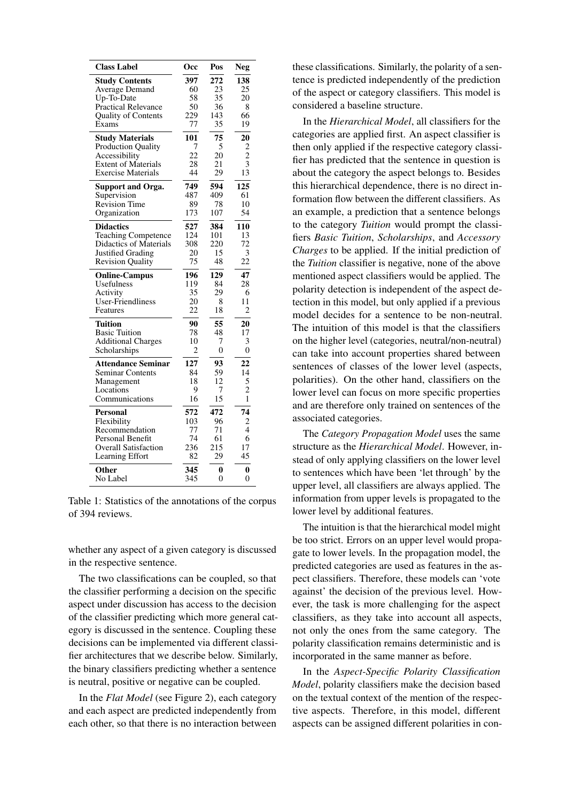| <b>Class Label</b>          | <b>Occ</b>     | Pos            | <b>Neg</b>     |
|-----------------------------|----------------|----------------|----------------|
| <b>Study Contents</b>       | 397            | 272            | 138            |
| <b>Average Demand</b>       | 60             | 23             | 25             |
| Up-To-Date                  | 58             | 35             | 20             |
| Practical Relevance         | 50             | 36             | 8              |
| <b>Quality of Contents</b>  | 229<br>77      | 143<br>35      | 66             |
| Exams                       |                |                | 19             |
| <b>Study Materials</b>      | 101            | 75             | 20             |
| <b>Production Quality</b>   | $\overline{7}$ | 5              | $\overline{c}$ |
| Accessibility               | 22             | 20             | $\bar{2}$      |
| <b>Extent of Materials</b>  | 28             | 21             | 3<br>13        |
| <b>Exercise Materials</b>   | 44             | 29             |                |
| <b>Support and Orga.</b>    | 749            | 594            | 125            |
| Supervision                 | 487            | 409            | 61             |
| <b>Revision Time</b>        | 89             | 78             | 10             |
| Organization                | 173            | 107            | 54             |
| <b>Didactics</b>            | 527            | 384            | 110            |
| <b>Teaching Competence</b>  | 124            | 101            | 13             |
| Didactics of Materials      | 308            | 220            | 72             |
| <b>Justified Grading</b>    | 20             | 15             | 3              |
| <b>Revision Quality</b>     | 75             | 48             | 22             |
| <b>Online-Campus</b>        | 196            | 129            | 47             |
| Usefulness                  | 119            | 84             | 28             |
| Activity                    | 35             | 29             | 6              |
| User-Friendliness           | 20             | 8              | 11             |
| Features                    | 22             | 18             | 2              |
| Tuition                     | 90             | 55             | 20             |
| <b>Basic Tuition</b>        | 78             | 48             | 17             |
| <b>Additional Charges</b>   | 10             | 7              | 3              |
| Scholarships                | 2              | $\overline{0}$ | 0              |
| <b>Attendance Seminar</b>   | 127            | 93             | 22             |
| <b>Seminar Contents</b>     | 84             | 59             | 14             |
| Management                  | 18             | 12             | 5              |
| Locations                   | 9              | 7              | $\overline{2}$ |
| Communications              | 16             | 15             | $\mathbf{1}$   |
| Personal                    | 572            | 472            | 74             |
| Flexibility                 | 103            | 96             | 2              |
| Recommendation              | 77             | 71             | 4              |
| Personal Benefit            | 74             | 61             | 6              |
| <b>Overall Satisfaction</b> | 236            | 215            | 17             |
| Learning Effort             | 82             | 29             | 45             |
| Other                       | 345            | 0              | 0              |
| No Label                    | 345            | $\theta$       | 0              |

<span id="page-3-0"></span>Table 1: Statistics of the annotations of the corpus of 394 reviews.

whether any aspect of a given category is discussed in the respective sentence.

The two classifications can be coupled, so that the classifier performing a decision on the specific aspect under discussion has access to the decision of the classifier predicting which more general category is discussed in the sentence. Coupling these decisions can be implemented via different classifier architectures that we describe below. Similarly, the binary classifiers predicting whether a sentence is neutral, positive or negative can be coupled.

In the *Flat Model* (see Figure [2\)](#page-4-1), each category and each aspect are predicted independently from each other, so that there is no interaction between these classifications. Similarly, the polarity of a sentence is predicted independently of the prediction of the aspect or category classifiers. This model is considered a baseline structure.

In the *Hierarchical Model*, all classifiers for the categories are applied first. An aspect classifier is then only applied if the respective category classifier has predicted that the sentence in question is about the category the aspect belongs to. Besides this hierarchical dependence, there is no direct information flow between the different classifiers. As an example, a prediction that a sentence belongs to the category *Tuition* would prompt the classifiers *Basic Tuition*, *Scholarships*, and *Accessory Charges* to be applied. If the initial prediction of the *Tuition* classifier is negative, none of the above mentioned aspect classifiers would be applied. The polarity detection is independent of the aspect detection in this model, but only applied if a previous model decides for a sentence to be non-neutral. The intuition of this model is that the classifiers on the higher level (categories, neutral/non-neutral) can take into account properties shared between sentences of classes of the lower level (aspects, polarities). On the other hand, classifiers on the lower level can focus on more specific properties and are therefore only trained on sentences of the associated categories.

The *Category Propagation Model* uses the same structure as the *Hierarchical Model*. However, instead of only applying classifiers on the lower level to sentences which have been 'let through' by the upper level, all classifiers are always applied. The information from upper levels is propagated to the lower level by additional features.

The intuition is that the hierarchical model might be too strict. Errors on an upper level would propagate to lower levels. In the propagation model, the predicted categories are used as features in the aspect classifiers. Therefore, these models can 'vote against' the decision of the previous level. However, the task is more challenging for the aspect classifiers, as they take into account all aspects, not only the ones from the same category. The polarity classification remains deterministic and is incorporated in the same manner as before.

In the *Aspect-Specific Polarity Classification Model*, polarity classifiers make the decision based on the textual context of the mention of the respective aspects. Therefore, in this model, different aspects can be assigned different polarities in con-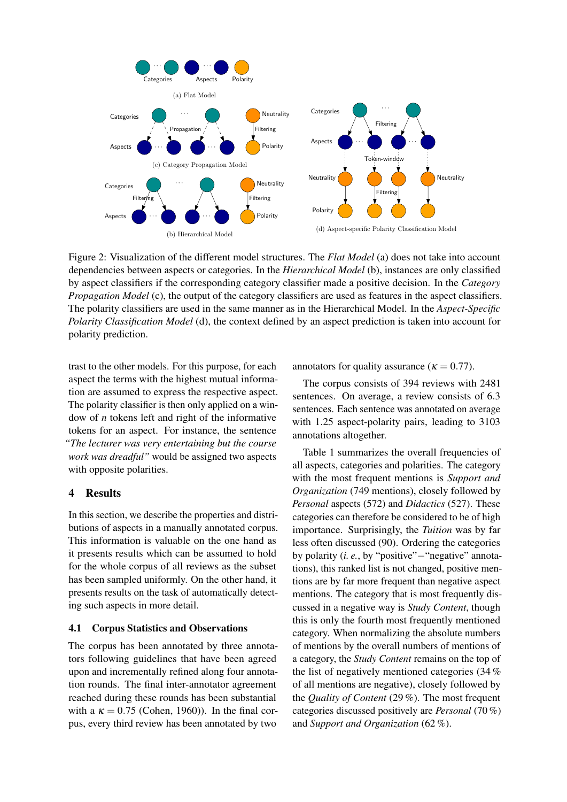

<span id="page-4-1"></span>Figure 2: Visualization of the different model structures. The *Flat Model* (a) does not take into account dependencies between aspects or categories. In the *Hierarchical Model* (b), instances are only classified by aspect classifiers if the corresponding category classifier made a positive decision. In the *Category Propagation Model* (c), the output of the category classifiers are used as features in the aspect classifiers. The polarity classifiers are used in the same manner as in the Hierarchical Model. In the *Aspect-Specific Polarity Classification Model* (d), the context defined by an aspect prediction is taken into account for polarity prediction.

trast to the other models. For this purpose, for each aspect the terms with the highest mutual information are assumed to express the respective aspect. The polarity classifier is then only applied on a window of *n* tokens left and right of the informative tokens for an aspect. For instance, the sentence *"The lecturer was very entertaining but the course work was dreadful"* would be assigned two aspects with opposite polarities.

# 4 Results

In this section, we describe the properties and distributions of aspects in a manually annotated corpus. This information is valuable on the one hand as it presents results which can be assumed to hold for the whole corpus of all reviews as the subset has been sampled uniformly. On the other hand, it presents results on the task of automatically detecting such aspects in more detail.

#### <span id="page-4-0"></span>4.1 Corpus Statistics and Observations

The corpus has been annotated by three annotators following guidelines that have been agreed upon and incrementally refined along four annotation rounds. The final inter-annotator agreement reached during these rounds has been substantial with a  $\kappa = 0.75$  [\(Cohen, 1960\)](#page-8-8)). In the final corpus, every third review has been annotated by two

annotators for quality assurance ( $\kappa = 0.77$ ).

The corpus consists of 394 reviews with 2481 sentences. On average, a review consists of 6.3 sentences. Each sentence was annotated on average with 1.25 aspect-polarity pairs, leading to 3103 annotations altogether.

Table [1](#page-3-0) summarizes the overall frequencies of all aspects, categories and polarities. The category with the most frequent mentions is *Support and Organization* (749 mentions), closely followed by *Personal* aspects (572) and *Didactics* (527). These categories can therefore be considered to be of high importance. Surprisingly, the *Tuition* was by far less often discussed (90). Ordering the categories by polarity (*i. e.*, by "positive"−"negative" annotations), this ranked list is not changed, positive mentions are by far more frequent than negative aspect mentions. The category that is most frequently discussed in a negative way is *Study Content*, though this is only the fourth most frequently mentioned category. When normalizing the absolute numbers of mentions by the overall numbers of mentions of a category, the *Study Content* remains on the top of the list of negatively mentioned categories (34 % of all mentions are negative), closely followed by the *Quality of Content* (29 %). The most frequent categories discussed positively are *Personal* (70 %) and *Support and Organization* (62 %).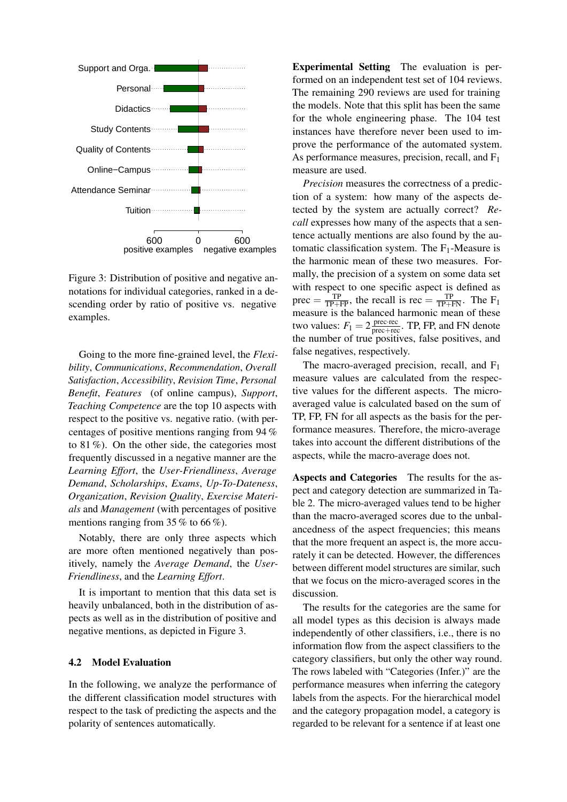

<span id="page-5-0"></span>Figure 3: Distribution of positive and negative annotations for individual categories, ranked in a descending order by ratio of positive vs. negative examples.

Going to the more fine-grained level, the *Flexibility*, *Communications*, *Recommendation*, *Overall Satisfaction*, *Accessibility*, *Revision Time*, *Personal Benefit*, *Features* (of online campus), *Support*, *Teaching Competence* are the top 10 aspects with respect to the positive vs. negative ratio. (with percentages of positive mentions ranging from 94 % to 81 %). On the other side, the categories most frequently discussed in a negative manner are the *Learning Effort*, the *User-Friendliness*, *Average Demand*, *Scholarships*, *Exams*, *Up-To-Dateness*, *Organization*, *Revision Quality*, *Exercise Materials* and *Management* (with percentages of positive mentions ranging from 35 % to 66 %).

Notably, there are only three aspects which are more often mentioned negatively than positively, namely the *Average Demand*, the *User-Friendliness*, and the *Learning Effort*.

It is important to mention that this data set is heavily unbalanced, both in the distribution of aspects as well as in the distribution of positive and negative mentions, as depicted in Figure [3.](#page-5-0)

### 4.2 Model Evaluation

In the following, we analyze the performance of the different classification model structures with respect to the task of predicting the aspects and the polarity of sentences automatically.

Experimental Setting The evaluation is performed on an independent test set of 104 reviews. The remaining 290 reviews are used for training the models. Note that this split has been the same for the whole engineering phase. The 104 test instances have therefore never been used to improve the performance of the automated system. As performance measures, precision, recall, and  $F_1$ measure are used.

*Precision* measures the correctness of a prediction of a system: how many of the aspects detected by the system are actually correct? *Recall* expresses how many of the aspects that a sentence actually mentions are also found by the automatic classification system. The F1-Measure is the harmonic mean of these two measures. Formally, the precision of a system on some data set with respect to one specific aspect is defined as prec =  $\frac{TP}{TP+FP}$ , the recall is rec =  $\frac{TP}{TP+FN}$ . The F<sub>1</sub> measure is the balanced harmonic mean of these two values:  $F_1 = 2 \frac{\text{prec-rec}}{\text{prec+rec}}$ . TP, FP, and FN denote the number of true positives, false positives, and false negatives, respectively.

The macro-averaged precision, recall, and  $F_1$ measure values are calculated from the respective values for the different aspects. The microaveraged value is calculated based on the sum of TP, FP, FN for all aspects as the basis for the performance measures. Therefore, the micro-average takes into account the different distributions of the aspects, while the macro-average does not.

Aspects and Categories The results for the aspect and category detection are summarized in Table [2.](#page-6-0) The micro-averaged values tend to be higher than the macro-averaged scores due to the unbalancedness of the aspect frequencies; this means that the more frequent an aspect is, the more accurately it can be detected. However, the differences between different model structures are similar, such that we focus on the micro-averaged scores in the discussion.

The results for the categories are the same for all model types as this decision is always made independently of other classifiers, i.e., there is no information flow from the aspect classifiers to the category classifiers, but only the other way round. The rows labeled with "Categories (Infer.)" are the performance measures when inferring the category labels from the aspects. For the hierarchical model and the category propagation model, a category is regarded to be relevant for a sentence if at least one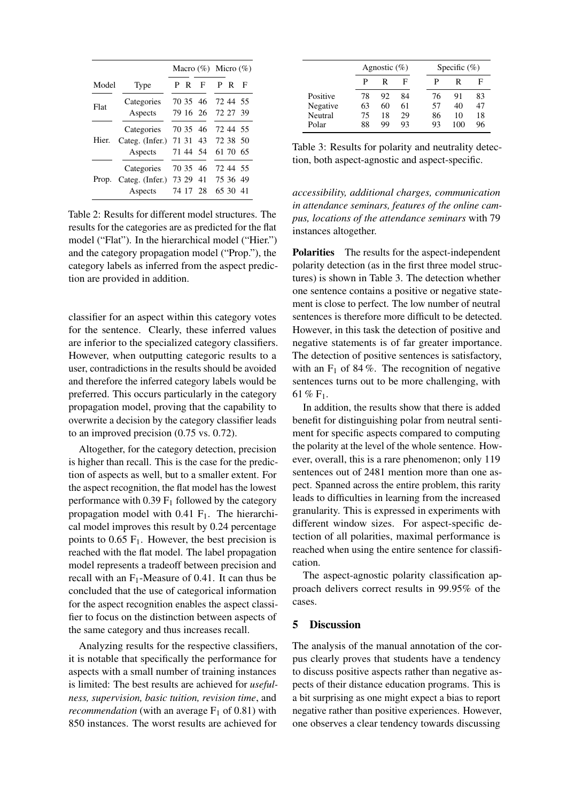|       |                       | Macro $(\%)$ Micro $(\%)$ |     |          |  |          |   |
|-------|-----------------------|---------------------------|-----|----------|--|----------|---|
| Model | Type                  |                           | P R | F        |  | P R      | F |
| Flat  | Categories            |                           |     | 70 35 46 |  | 72 44 55 |   |
|       | Aspects               |                           |     | 79 16 26 |  | 72 27 39 |   |
| Hier. | Categories            |                           |     | 70 35 46 |  | 72 44 55 |   |
|       | Categ. (Infer.)       | 71 31                     |     | 43       |  | 72 38 50 |   |
|       | Aspects               |                           |     | 71 44 54 |  | 61 70 65 |   |
| Prop. | Categories            |                           |     | 70 35 46 |  | 72 44 55 |   |
|       | Categ. (Infer.) 73 29 |                           |     | 41       |  | 75 36 49 |   |
|       | Aspects               | 74 17                     |     | 28       |  | 65 30 41 |   |

<span id="page-6-0"></span>Table 2: Results for different model structures. The results for the categories are as predicted for the flat model ("Flat"). In the hierarchical model ("Hier.") and the category propagation model ("Prop."), the category labels as inferred from the aspect prediction are provided in addition.

classifier for an aspect within this category votes for the sentence. Clearly, these inferred values are inferior to the specialized category classifiers. However, when outputting categoric results to a user, contradictions in the results should be avoided and therefore the inferred category labels would be preferred. This occurs particularly in the category propagation model, proving that the capability to overwrite a decision by the category classifier leads to an improved precision (0.75 vs. 0.72).

Altogether, for the category detection, precision is higher than recall. This is the case for the prediction of aspects as well, but to a smaller extent. For the aspect recognition, the flat model has the lowest performance with  $0.39 \text{ F}_1$  followed by the category propagation model with  $0.41$  F<sub>1</sub>. The hierarchical model improves this result by 0.24 percentage points to  $0.65$  F<sub>1</sub>. However, the best precision is reached with the flat model. The label propagation model represents a tradeoff between precision and recall with an  $F_1$ -Measure of 0.41. It can thus be concluded that the use of categorical information for the aspect recognition enables the aspect classifier to focus on the distinction between aspects of the same category and thus increases recall.

Analyzing results for the respective classifiers, it is notable that specifically the performance for aspects with a small number of training instances is limited: The best results are achieved for *usefulness, supervision, basic tuition, revision time*, and *recommendation* (with an average  $F_1$  of 0.81) with 850 instances. The worst results are achieved for

|          |    | Agnostic $(\%)$ |    |  | Specific $(\%)$ |     |    |
|----------|----|-----------------|----|--|-----------------|-----|----|
|          | р  | R               | F  |  | P               | R   | F  |
| Positive | 78 | 92              | 84 |  | 76              | 91  | 83 |
| Negative | 63 | 60              | 61 |  | 57              | 40  | 47 |
| Neutral  | 75 | 18              | 29 |  | 86              | 10  | 18 |
| Polar    | 88 | qq              | 93 |  | 93              | 100 | 96 |

<span id="page-6-1"></span>Table 3: Results for polarity and neutrality detection, both aspect-agnostic and aspect-specific.

*accessibility, additional charges, communication in attendance seminars, features of the online campus, locations of the attendance seminars* with 79 instances altogether.

Polarities The results for the aspect-independent polarity detection (as in the first three model structures) is shown in Table [3.](#page-6-1) The detection whether one sentence contains a positive or negative statement is close to perfect. The low number of neutral sentences is therefore more difficult to be detected. However, in this task the detection of positive and negative statements is of far greater importance. The detection of positive sentences is satisfactory, with an  $F_1$  of 84%. The recognition of negative sentences turns out to be more challenging, with 61 % F1.

In addition, the results show that there is added benefit for distinguishing polar from neutral sentiment for specific aspects compared to computing the polarity at the level of the whole sentence. However, overall, this is a rare phenomenon; only 119 sentences out of 2481 mention more than one aspect. Spanned across the entire problem, this rarity leads to difficulties in learning from the increased granularity. This is expressed in experiments with different window sizes. For aspect-specific detection of all polarities, maximal performance is reached when using the entire sentence for classification.

The aspect-agnostic polarity classification approach delivers correct results in 99.95% of the cases.

## 5 Discussion

The analysis of the manual annotation of the corpus clearly proves that students have a tendency to discuss positive aspects rather than negative aspects of their distance education programs. This is a bit surprising as one might expect a bias to report negative rather than positive experiences. However, one observes a clear tendency towards discussing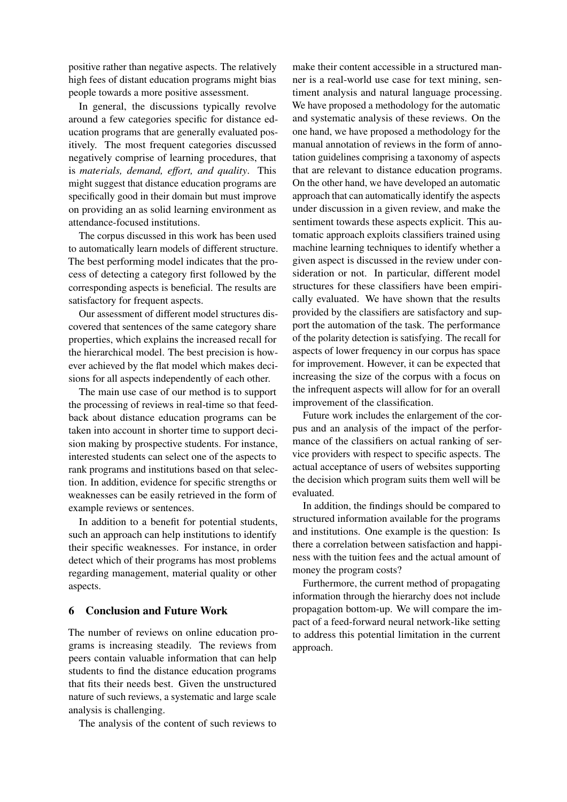positive rather than negative aspects. The relatively high fees of distant education programs might bias people towards a more positive assessment.

In general, the discussions typically revolve around a few categories specific for distance education programs that are generally evaluated positively. The most frequent categories discussed negatively comprise of learning procedures, that is *materials, demand, effort, and quality*. This might suggest that distance education programs are specifically good in their domain but must improve on providing an as solid learning environment as attendance-focused institutions.

The corpus discussed in this work has been used to automatically learn models of different structure. The best performing model indicates that the process of detecting a category first followed by the corresponding aspects is beneficial. The results are satisfactory for frequent aspects.

Our assessment of different model structures discovered that sentences of the same category share properties, which explains the increased recall for the hierarchical model. The best precision is however achieved by the flat model which makes decisions for all aspects independently of each other.

The main use case of our method is to support the processing of reviews in real-time so that feedback about distance education programs can be taken into account in shorter time to support decision making by prospective students. For instance, interested students can select one of the aspects to rank programs and institutions based on that selection. In addition, evidence for specific strengths or weaknesses can be easily retrieved in the form of example reviews or sentences.

In addition to a benefit for potential students, such an approach can help institutions to identify their specific weaknesses. For instance, in order detect which of their programs has most problems regarding management, material quality or other aspects.

### 6 Conclusion and Future Work

The number of reviews on online education programs is increasing steadily. The reviews from peers contain valuable information that can help students to find the distance education programs that fits their needs best. Given the unstructured nature of such reviews, a systematic and large scale analysis is challenging.

The analysis of the content of such reviews to

make their content accessible in a structured manner is a real-world use case for text mining, sentiment analysis and natural language processing. We have proposed a methodology for the automatic and systematic analysis of these reviews. On the one hand, we have proposed a methodology for the manual annotation of reviews in the form of annotation guidelines comprising a taxonomy of aspects that are relevant to distance education programs. On the other hand, we have developed an automatic approach that can automatically identify the aspects under discussion in a given review, and make the sentiment towards these aspects explicit. This automatic approach exploits classifiers trained using machine learning techniques to identify whether a given aspect is discussed in the review under consideration or not. In particular, different model structures for these classifiers have been empirically evaluated. We have shown that the results provided by the classifiers are satisfactory and support the automation of the task. The performance of the polarity detection is satisfying. The recall for aspects of lower frequency in our corpus has space for improvement. However, it can be expected that increasing the size of the corpus with a focus on the infrequent aspects will allow for for an overall improvement of the classification.

Future work includes the enlargement of the corpus and an analysis of the impact of the performance of the classifiers on actual ranking of service providers with respect to specific aspects. The actual acceptance of users of websites supporting the decision which program suits them well will be evaluated.

In addition, the findings should be compared to structured information available for the programs and institutions. One example is the question: Is there a correlation between satisfaction and happiness with the tuition fees and the actual amount of money the program costs?

Furthermore, the current method of propagating information through the hierarchy does not include propagation bottom-up. We will compare the impact of a feed-forward neural network-like setting to address this potential limitation in the current approach.